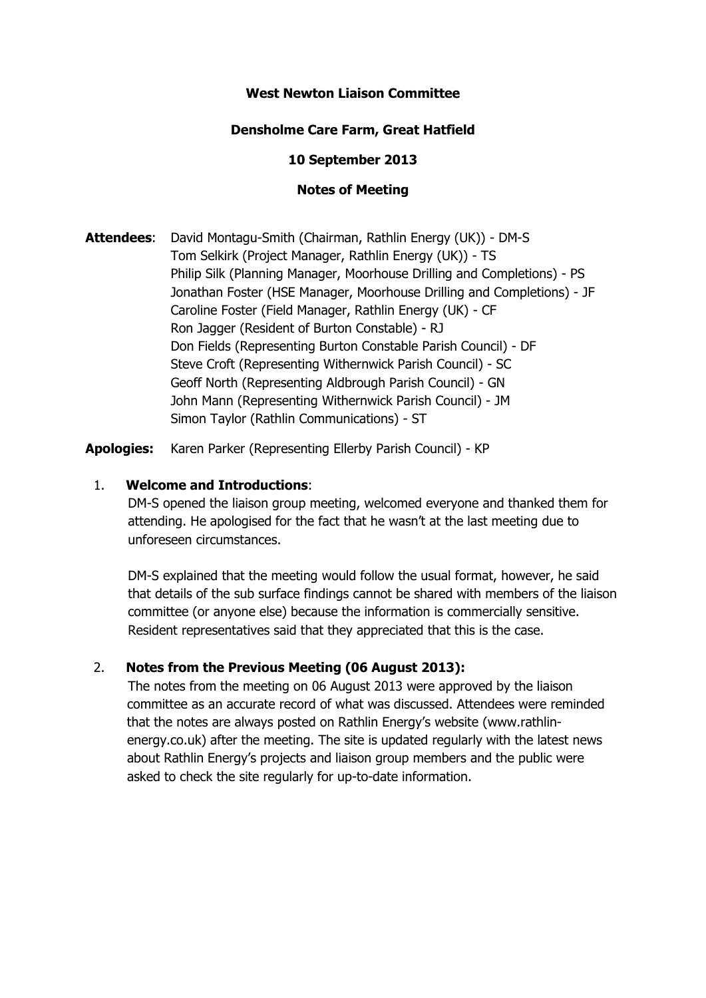## **West Newton Liaison Committee**

### **Densholme Care Farm, Great Hatfield**

#### **10 September 2013**

### **Notes of Meeting**

**Attendees**: David Montagu-Smith (Chairman, Rathlin Energy (UK)) - DM-S Tom Selkirk (Project Manager, Rathlin Energy (UK)) - TS Philip Silk (Planning Manager, Moorhouse Drilling and Completions) - PS Jonathan Foster (HSE Manager, Moorhouse Drilling and Completions) - JF Caroline Foster (Field Manager, Rathlin Energy (UK) - CF Ron Jagger (Resident of Burton Constable) - RJ Don Fields (Representing Burton Constable Parish Council) - DF Steve Croft (Representing Withernwick Parish Council) - SC Geoff North (Representing Aldbrough Parish Council) - GN John Mann (Representing Withernwick Parish Council) - JM Simon Taylor (Rathlin Communications) - ST

**Apologies:** Karen Parker (Representing Ellerby Parish Council) - KP

### 1. **Welcome and Introductions**:

 DM-S opened the liaison group meeting, welcomed everyone and thanked them for attending. He apologised for the fact that he wasn't at the last meeting due to unforeseen circumstances.

 DM-S explained that the meeting would follow the usual format, however, he said that details of the sub surface findings cannot be shared with members of the liaison committee (or anyone else) because the information is commercially sensitive. Resident representatives said that they appreciated that this is the case.

## 2. **Notes from the Previous Meeting (06 August 2013):**

 The notes from the meeting on 06 August 2013 were approved by the liaison committee as an accurate record of what was discussed. Attendees were reminded that the notes are always posted on Rathlin Energy's website (www.rathlin energy.co.uk) after the meeting. The site is updated regularly with the latest news about Rathlin Energy's projects and liaison group members and the public were asked to check the site regularly for up-to-date information.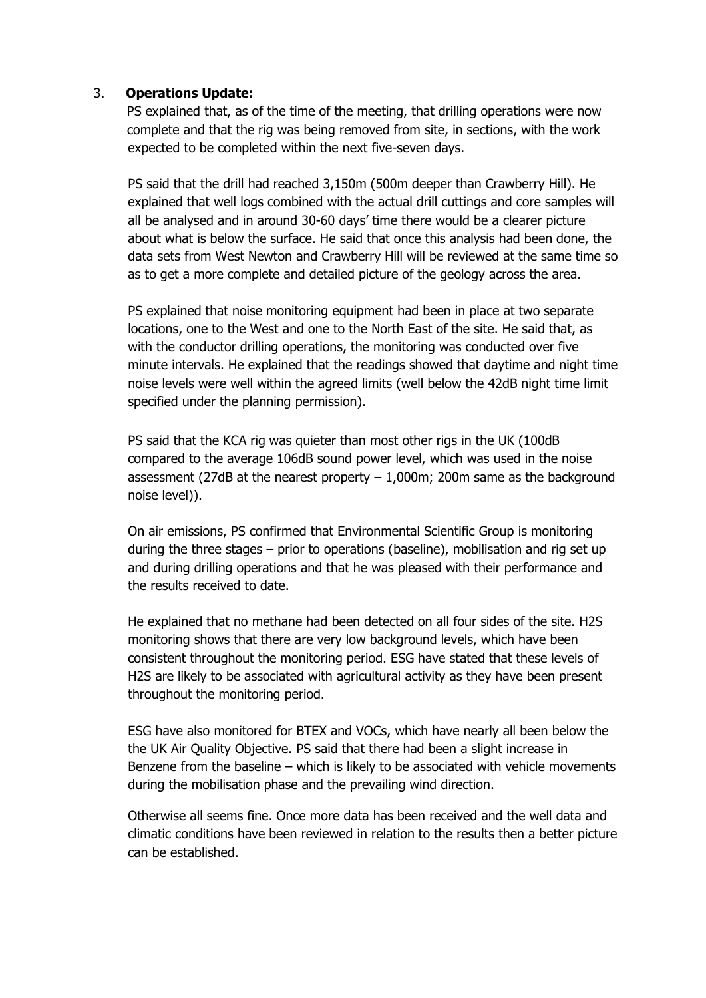## 3. **Operations Update:**

 PS explained that, as of the time of the meeting, that drilling operations were now complete and that the rig was being removed from site, in sections, with the work expected to be completed within the next five-seven days.

PS said that the drill had reached 3,150m (500m deeper than Crawberry Hill). He explained that well logs combined with the actual drill cuttings and core samples will all be analysed and in around 30-60 days' time there would be a clearer picture about what is below the surface. He said that once this analysis had been done, the data sets from West Newton and Crawberry Hill will be reviewed at the same time so as to get a more complete and detailed picture of the geology across the area.

PS explained that noise monitoring equipment had been in place at two separate locations, one to the West and one to the North East of the site. He said that, as with the conductor drilling operations, the monitoring was conducted over five minute intervals. He explained that the readings showed that daytime and night time noise levels were well within the agreed limits (well below the 42dB night time limit specified under the planning permission).

PS said that the KCA rig was quieter than most other rigs in the UK (100dB compared to the average 106dB sound power level, which was used in the noise assessment (27dB at the nearest property  $-1,000$ m; 200m same as the background noise level)).

On air emissions, PS confirmed that Environmental Scientific Group is monitoring during the three stages – prior to operations (baseline), mobilisation and rig set up and during drilling operations and that he was pleased with their performance and the results received to date.

He explained that no methane had been detected on all four sides of the site. H2S monitoring shows that there are very low background levels, which have been consistent throughout the monitoring period. ESG have stated that these levels of H2S are likely to be associated with agricultural activity as they have been present throughout the monitoring period.

ESG have also monitored for BTEX and VOCs, which have nearly all been below the the UK Air Quality Objective. PS said that there had been a slight increase in Benzene from the baseline – which is likely to be associated with vehicle movements during the mobilisation phase and the prevailing wind direction.

Otherwise all seems fine. Once more data has been received and the well data and climatic conditions have been reviewed in relation to the results then a better picture can be established.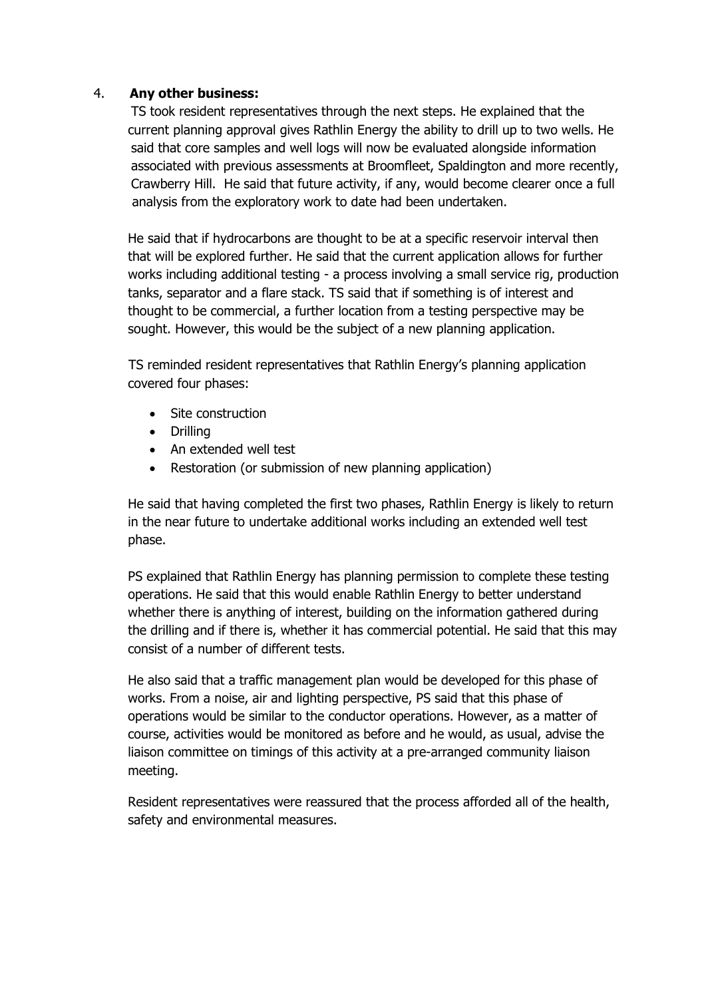### 4. **Any other business:**

 TS took resident representatives through the next steps. He explained that the current planning approval gives Rathlin Energy the ability to drill up to two wells. He said that core samples and well logs will now be evaluated alongside information associated with previous assessments at Broomfleet, Spaldington and more recently, Crawberry Hill. He said that future activity, if any, would become clearer once a full analysis from the exploratory work to date had been undertaken.

He said that if hydrocarbons are thought to be at a specific reservoir interval then that will be explored further. He said that the current application allows for further works including additional testing - a process involving a small service rig, production tanks, separator and a flare stack. TS said that if something is of interest and thought to be commercial, a further location from a testing perspective may be sought. However, this would be the subject of a new planning application.

TS reminded resident representatives that Rathlin Energy's planning application covered four phases:

- Site construction
- Drilling
- An extended well test
- Restoration (or submission of new planning application)

He said that having completed the first two phases, Rathlin Energy is likely to return in the near future to undertake additional works including an extended well test phase.

PS explained that Rathlin Energy has planning permission to complete these testing operations. He said that this would enable Rathlin Energy to better understand whether there is anything of interest, building on the information gathered during the drilling and if there is, whether it has commercial potential. He said that this may consist of a number of different tests.

He also said that a traffic management plan would be developed for this phase of works. From a noise, air and lighting perspective, PS said that this phase of operations would be similar to the conductor operations. However, as a matter of course, activities would be monitored as before and he would, as usual, advise the liaison committee on timings of this activity at a pre-arranged community liaison meeting.

Resident representatives were reassured that the process afforded all of the health, safety and environmental measures.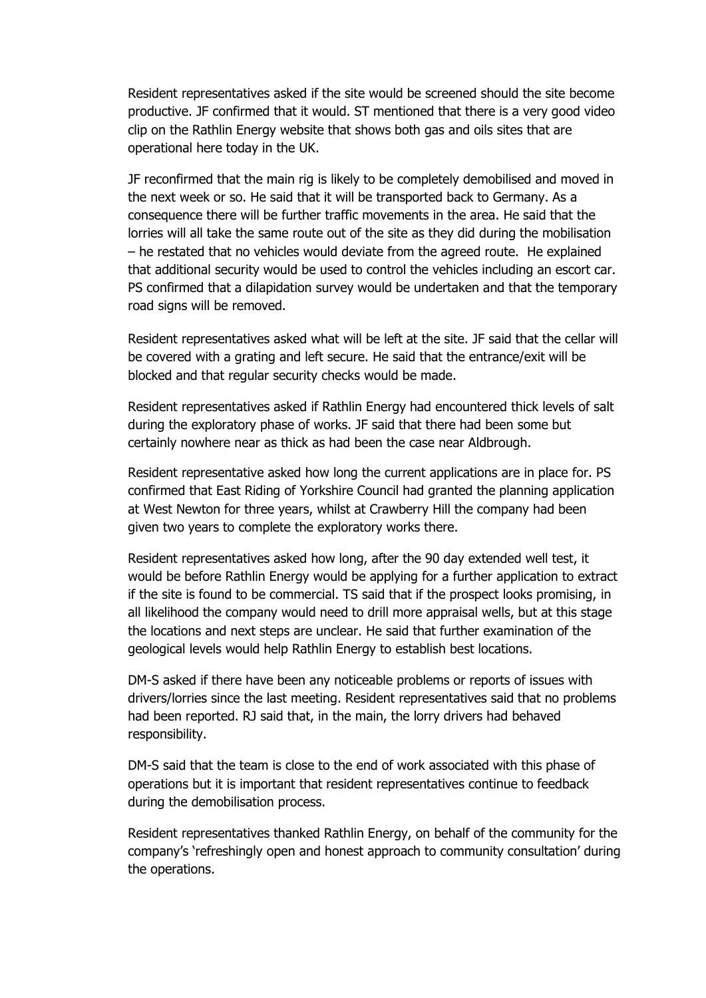Resident representatives asked if the site would be screened should the site become productive. JF confirmed that it would. ST mentioned that there is a very good video clip on the Rathlin Energy website that shows both gas and oils sites that are operational here today in the UK.

JF reconfirmed that the main rig is likely to be completely demobilised and moved in the next week or so. He said that it will be transported back to Germany. As a consequence there will be further traffic movements in the area. He said that the lorries will all take the same route out of the site as they did during the mobilisation – he restated that no vehicles would deviate from the agreed route. He explained that additional security would be used to control the vehicles including an escort car. PS confirmed that a dilapidation survey would be undertaken and that the temporary road signs will be removed.

Resident representatives asked what will be left at the site. JF said that the cellar will be covered with a grating and left secure. He said that the entrance/exit will be blocked and that regular security checks would be made.

Resident representatives asked if Rathlin Energy had encountered thick levels of salt during the exploratory phase of works. JF said that there had been some but certainly nowhere near as thick as had been the case near Aldbrough.

Resident representative asked how long the current applications are in place for. PS confirmed that East Riding of Yorkshire Council had granted the planning application at West Newton for three years, whilst at Crawberry Hill the company had been given two years to complete the exploratory works there.

Resident representatives asked how long, after the 90 day extended well test, it would be before Rathlin Energy would be applying for a further application to extract if the site is found to be commercial. TS said that if the prospect looks promising, in all likelihood the company would need to drill more appraisal wells, but at this stage the locations and next steps are unclear. He said that further examination of the geological levels would help Rathlin Energy to establish best locations.

DM-S asked if there have been any noticeable problems or reports of issues with drivers/lorries since the last meeting. Resident representatives said that no problems had been reported. RJ said that, in the main, the lorry drivers had behaved responsibility.

DM-S said that the team is close to the end of work associated with this phase of operations but it is important that resident representatives continue to feedback during the demobilisation process.

Resident representatives thanked Rathlin Energy, on behalf of the community for the company's 'refreshingly open and honest approach to community consultation' during the operations.